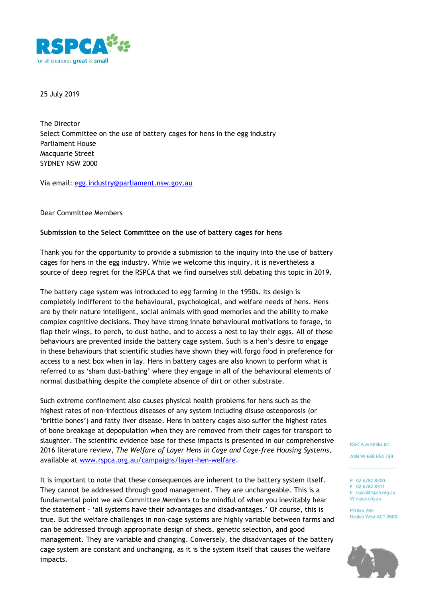

25 July 2019

The Director Select Committee on the use of battery cages for hens in the egg industry Parliament House Macquarie Street SYDNEY NSW 2000

Via email: [egg.industry@parliament.nsw.gov.au](mailto:egg.industry@parliament.nsw.gov.au)

Dear Committee Members

#### **Submission to the Select Committee on the use of battery cages for hens**

Thank you for the opportunity to provide a submission to the inquiry into the use of battery cages for hens in the egg industry. While we welcome this inquiry, it is nevertheless a source of deep regret for the RSPCA that we find ourselves still debating this topic in 2019.

The battery cage system was introduced to egg farming in the 1950s. Its design is completely indifferent to the behavioural, psychological, and welfare needs of hens. Hens are by their nature intelligent, social animals with good memories and the ability to make complex cognitive decisions. They have strong innate behavioural motivations to forage, to flap their wings, to perch, to dust bathe, and to access a nest to lay their eggs. All of these behaviours are prevented inside the battery cage system. Such is a hen's desire to engage in these behaviours that scientific studies have shown they will forgo food in preference for access to a nest box when in lay. Hens in battery cages are also known to perform what is referred to as 'sham dust-bathing' where they engage in all of the behavioural elements of normal dustbathing despite the complete absence of dirt or other substrate.

Such extreme confinement also causes physical health problems for hens such as the highest rates of non-infectious diseases of any system including disuse osteoporosis (or 'brittle bones') and fatty liver disease. Hens in battery cages also suffer the highest rates of bone breakage at depopulation when they are removed from their cages for transport to slaughter. The scientific evidence base for these impacts is presented in our comprehensive 2016 literature review, *The Welfare of Layer Hens in Cage and Cage-free Housing Systems*, available at [www.rspca.org.au/campaigns/layer-hen-welfare.](http://www.rspca.org.au/campaigns/layer-hen-welfare)

It is important to note that these consequences are inherent to the battery system itself. They cannot be addressed through good management. They are unchangeable. This is a fundamental point we ask Committee Members to be mindful of when you inevitably hear the statement - 'all systems have their advantages and disadvantages.' Of course, this is true. But the welfare challenges in non-cage systems are highly variable between farms and can be addressed through appropriate design of sheds, genetic selection, and good management. They are variable and changing. Conversely, the disadvantages of the battery cage system are constant and unchanging, as it is the system itself that causes the welfare impacts.

**RSPCA Australia Inc.** 

ABN 99 668 654 249

P 02 6282 8300 F 02 6282 8311 E rspca@rspca.org.au W rspca.org.au

**PO Box 265** Deakin West ACT 2600

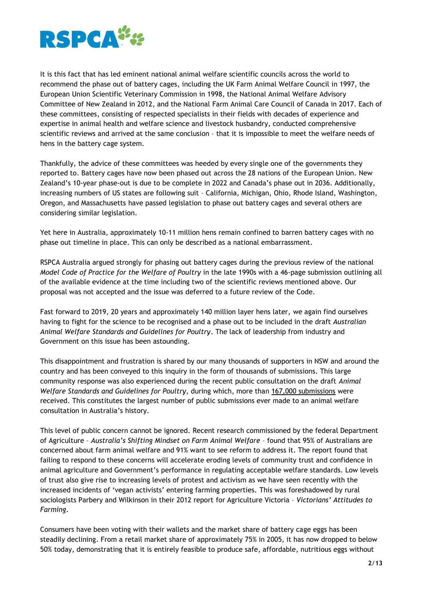

It is this fact that has led eminent national animal welfare scientific councils across the world to recommend the phase out of battery cages, including the UK Farm Animal Welfare Council in 1997, the European Union Scientific Veterinary Commission in 1998, the National Animal Welfare Advisory Committee of New Zealand in 2012, and the National Farm Animal Care Council of Canada in 2017. Each of these committees, consisting of respected specialists in their fields with decades of experience and expertise in animal health and welfare science and livestock husbandry, conducted comprehensive scientific reviews and arrived at the same conclusion – that it is impossible to meet the welfare needs of hens in the battery cage system.

Thankfully, the advice of these committees was heeded by every single one of the governments they reported to. Battery cages have now been phased out across the 28 nations of the European Union. New Zealand's 10-year phase-out is due to be complete in 2022 and Canada's phase out in 2036. Additionally, increasing numbers of US states are following suit – California, Michigan, Ohio, Rhode Island, Washington, Oregon, and Massachusetts have passed legislation to phase out battery cages and several others are considering similar legislation.

Yet here in Australia, approximately 10-11 million hens remain confined to barren battery cages with no phase out timeline in place. This can only be described as a national embarrassment.

RSPCA Australia argued strongly for phasing out battery cages during the previous review of the national *Model Code of Practice for the Welfare of Poultry* in the late 1990s with a 46-page submission outlining all of the available evidence at the time including two of the scientific reviews mentioned above. Our proposal was not accepted and the issue was deferred to a future review of the Code.

Fast forward to 2019, 20 years and approximately 140 million layer hens later, we again find ourselves having to fight for the science to be recognised and a phase out to be included in the draft *Australian Animal Welfare Standards and Guidelines for Poultry*. The lack of leadership from industry and Government on this issue has been astounding.

This disappointment and frustration is shared by our many thousands of supporters in NSW and around the country and has been conveyed to this inquiry in the form of thousands of submissions. This large community response was also experienced during the recent public consultation on the draft *Animal Welfare Standards and Guidelines for Poultry*, during which, more than 167,000 submissions were received. This constitutes the largest number of public submissions ever made to an animal welfare consultation in Australia's history.

This level of public concern cannot be ignored. Recent research commissioned by the federal Department of Agriculture – *Australia's Shifting Mindset on Farm Animal Welfare* – found that 95% of Australians are concerned about farm animal welfare and 91% want to see reform to address it. The report found that failing to respond to these concerns will accelerate eroding levels of community trust and confidence in animal agriculture and Government's performance in regulating acceptable welfare standards. Low levels of trust also give rise to increasing levels of protest and activism as we have seen recently with the increased incidents of 'vegan activists' entering farming properties. This was foreshadowed by rural sociologists Parbery and Wilkinson in their 2012 report for Agriculture Victoria – *Victorians' Attitudes to Farming*.

Consumers have been voting with their wallets and the market share of battery cage eggs has been steadily declining. From a retail market share of approximately 75% in 2005, it has now dropped to below 50% today, demonstrating that it is entirely feasible to produce safe, affordable, nutritious eggs without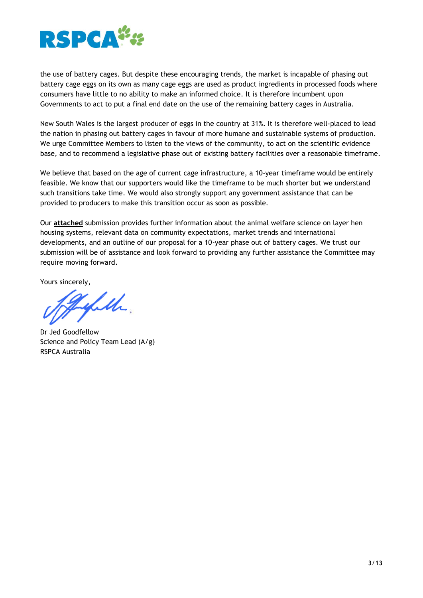

the use of battery cages. But despite these encouraging trends, the market is incapable of phasing out battery cage eggs on its own as many cage eggs are used as product ingredients in processed foods where consumers have little to no ability to make an informed choice. It is therefore incumbent upon Governments to act to put a final end date on the use of the remaining battery cages in Australia.

New South Wales is the largest producer of eggs in the country at 31%. It is therefore well-placed to lead the nation in phasing out battery cages in favour of more humane and sustainable systems of production. We urge Committee Members to listen to the views of the community, to act on the scientific evidence base, and to recommend a legislative phase out of existing battery facilities over a reasonable timeframe.

We believe that based on the age of current cage infrastructure, a 10-year timeframe would be entirely feasible. We know that our supporters would like the timeframe to be much shorter but we understand such transitions take time. We would also strongly support any government assistance that can be provided to producers to make this transition occur as soon as possible.

Our **attached** submission provides further information about the animal welfare science on layer hen housing systems, relevant data on community expectations, market trends and international developments, and an outline of our proposal for a 10-year phase out of battery cages. We trust our submission will be of assistance and look forward to providing any further assistance the Committee may require moving forward.

Yours sincerely,

Tylethe

Dr Jed Goodfellow Science and Policy Team Lead (A/g) RSPCA Australia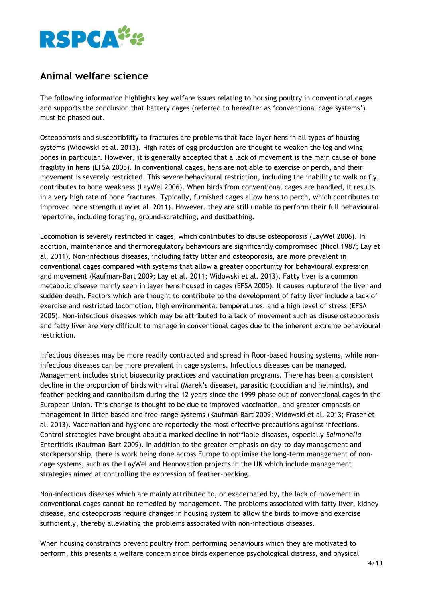

## **Animal welfare science**

The following information highlights key welfare issues relating to housing poultry in conventional cages and supports the conclusion that battery cages (referred to hereafter as 'conventional cage systems') must be phased out.

Osteoporosis and susceptibility to fractures are problems that face layer hens in all types of housing systems (Widowski et al. 2013). High rates of egg production are thought to weaken the leg and wing bones in particular. However, it is generally accepted that a lack of movement is the main cause of bone fragility in hens (EFSA 2005). In conventional cages, hens are not able to exercise or perch, and their movement is severely restricted. This severe behavioural restriction, including the inability to walk or fly, contributes to bone weakness (LayWel 2006). When birds from conventional cages are handled, it results in a very high rate of bone fractures. Typically, furnished cages allow hens to perch, which contributes to improved bone strength (Lay et al. 2011). However, they are still unable to perform their full behavioural repertoire, including foraging, ground-scratching, and dustbathing.

Locomotion is severely restricted in cages, which contributes to disuse osteoporosis (LayWel 2006). In addition, maintenance and thermoregulatory behaviours are significantly compromised (Nicol 1987; Lay et al. 2011). Non-infectious diseases, including fatty litter and osteoporosis, are more prevalent in conventional cages compared with systems that allow a greater opportunity for behavioural expression and movement (Kaufman-Bart 2009; Lay et al. 2011; Widowski et al. 2013). Fatty liver is a common metabolic disease mainly seen in layer hens housed in cages (EFSA 2005). It causes rupture of the liver and sudden death. Factors which are thought to contribute to the development of fatty liver include a lack of exercise and restricted locomotion, high environmental temperatures, and a high level of stress (EFSA 2005). Non-infectious diseases which may be attributed to a lack of movement such as disuse osteoporosis and fatty liver are very difficult to manage in conventional cages due to the inherent extreme behavioural restriction.

Infectious diseases may be more readily contracted and spread in floor-based housing systems, while noninfectious diseases can be more prevalent in cage systems. Infectious diseases can be managed. Management includes strict biosecurity practices and vaccination programs. There has been a consistent decline in the proportion of birds with viral (Marek's disease), parasitic (coccidian and helminths), and feather-pecking and cannibalism during the 12 years since the 1999 phase out of conventional cages in the European Union. This change is thought to be due to improved vaccination, and greater emphasis on management in litter-based and free-range systems (Kaufman-Bart 2009; Widowski et al. 2013; Fraser et al. 2013). Vaccination and hygiene are reportedly the most effective precautions against infections. Control strategies have brought about a marked decline in notifiable diseases, especially *Salmonella* Enteritidis (Kaufman-Bart 2009). In addition to the greater emphasis on day-to-day management and stockpersonship, there is work being done across Europe to optimise the long-term management of noncage systems, such as the LayWel and Hennovation projects in the UK which include management strategies aimed at controlling the expression of feather-pecking.

Non-infectious diseases which are mainly attributed to, or exacerbated by, the lack of movement in conventional cages cannot be remedied by management. The problems associated with fatty liver, kidney disease, and osteoporosis require changes in housing system to allow the birds to move and exercise sufficiently, thereby alleviating the problems associated with non-infectious diseases.

When housing constraints prevent poultry from performing behaviours which they are motivated to perform, this presents a welfare concern since birds experience psychological distress, and physical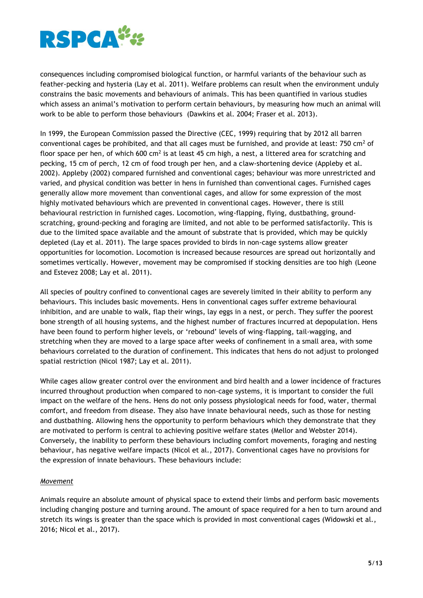

consequences including compromised biological function, or harmful variants of the behaviour such as feather-pecking and hysteria (Lay et al. 2011). Welfare problems can result when the environment unduly constrains the basic movements and behaviours of animals. This has been quantified in various studies which assess an animal's motivation to perform certain behaviours, by measuring how much an animal will work to be able to perform those behaviours (Dawkins et al. 2004; Fraser et al. 2013).

In 1999, the European Commission passed the Directive (CEC, 1999) requiring that by 2012 all barren conventional cages be prohibited, and that all cages must be furnished, and provide at least: 750 cm<sup>2</sup> of floor space per hen, of which 600 cm<sup>2</sup> is at least 45 cm high, a nest, a littered area for scratching and pecking, 15 cm of perch, 12 cm of food trough per hen, and a claw-shortening device (Appleby et al. 2002). Appleby (2002) compared furnished and conventional cages; behaviour was more unrestricted and varied, and physical condition was better in hens in furnished than conventional cages. Furnished cages generally allow more movement than conventional cages, and allow for some expression of the most highly motivated behaviours which are prevented in conventional cages. However, there is still behavioural restriction in furnished cages. Locomotion, wing-flapping, flying, dustbathing, groundscratching, ground-pecking and foraging are limited, and not able to be performed satisfactorily. This is due to the limited space available and the amount of substrate that is provided, which may be quickly depleted (Lay et al. 2011). The large spaces provided to birds in non-cage systems allow greater opportunities for locomotion. Locomotion is increased because resources are spread out horizontally and sometimes vertically. However, movement may be compromised if stocking densities are too high (Leone and Estevez 2008; Lay et al. 2011).

All species of poultry confined to conventional cages are severely limited in their ability to perform any behaviours. This includes basic movements. Hens in conventional cages suffer extreme behavioural inhibition, and are unable to walk, flap their wings, lay eggs in a nest, or perch. They suffer the poorest bone strength of all housing systems, and the highest number of fractures incurred at depopulation. Hens have been found to perform higher levels, or 'rebound' levels of wing-flapping, tail-wagging, and stretching when they are moved to a large space after weeks of confinement in a small area, with some behaviours correlated to the duration of confinement. This indicates that hens do not adjust to prolonged spatial restriction (Nicol 1987; Lay et al. 2011).

While cages allow greater control over the environment and bird health and a lower incidence of fractures incurred throughout production when compared to non-cage systems, it is important to consider the full impact on the welfare of the hens. Hens do not only possess physiological needs for food, water, thermal comfort, and freedom from disease. They also have innate behavioural needs, such as those for nesting and dustbathing. Allowing hens the opportunity to perform behaviours which they demonstrate that they are motivated to perform is central to achieving positive welfare states (Mellor and Webster 2014). Conversely, the inability to perform these behaviours including comfort movements, foraging and nesting behaviour, has negative welfare impacts (Nicol et al., 2017). Conventional cages have no provisions for the expression of innate behaviours. These behaviours include:

#### *Movement*

Animals require an absolute amount of physical space to extend their limbs and perform basic movements including changing posture and turning around. The amount of space required for a hen to turn around and stretch its wings is greater than the space which is provided in most conventional cages (Widowski et al., 2016; Nicol et al., 2017).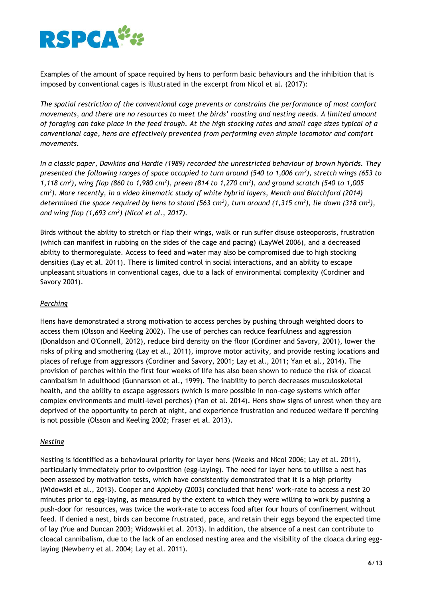

Examples of the amount of space required by hens to perform basic behaviours and the inhibition that is imposed by conventional cages is illustrated in the excerpt from Nicol et al. (2017):

*The spatial restriction of the conventional cage prevents or constrains the performance of most comfort movements, and there are no resources to meet the birds' roosting and nesting needs. A limited amount of foraging can take place in the feed trough. At the high stocking rates and small cage sizes typical of a conventional cage, hens are effectively prevented from performing even simple locomotor and comfort movements.* 

*In a classic paper, Dawkins and Hardie (1989) recorded the unrestricted behaviour of brown hybrids. They presented the following ranges of space occupied to turn around (540 to 1,006 cm<sup>2</sup> ), stretch wings (653 to 1,118 cm<sup>2</sup> ), wing flap (860 to 1,980 cm<sup>2</sup> ), preen (814 to 1,270 cm<sup>2</sup> ), and ground scratch (540 to 1,005 cm<sup>2</sup> ). More recently, in a video kinematic study of white hybrid layers, Mench and Blatchford (2014) determined the space required by hens to stand (563 cm<sup>2</sup> ), turn around (1,315 cm<sup>2</sup> ), lie down (318 cm<sup>2</sup> ), and wing flap (1,693 cm<sup>2</sup> ) (Nicol et al., 2017).*

Birds without the ability to stretch or flap their wings, walk or run suffer disuse osteoporosis, frustration (which can manifest in rubbing on the sides of the cage and pacing) (LayWel 2006), and a decreased ability to thermoregulate. Access to feed and water may also be compromised due to high stocking densities (Lay et al. 2011). There is limited control in social interactions, and an ability to escape unpleasant situations in conventional cages, due to a lack of environmental complexity (Cordiner and Savory 2001).

### *Perching*

Hens have demonstrated a strong motivation to access perches by pushing through weighted doors to access them (Olsson and Keeling 2002). The use of perches can reduce fearfulness and aggression (Donaldson and O'Connell, 2012), reduce bird density on the floor (Cordiner and Savory, 2001), lower the risks of piling and smothering (Lay et al., 2011), improve motor activity, and provide resting locations and places of refuge from aggressors (Cordiner and Savory, 2001; Lay et al., 2011; Yan et al., 2014). The provision of perches within the first four weeks of life has also been shown to reduce the risk of cloacal cannibalism in adulthood (Gunnarsson et al., 1999). The inability to perch decreases musculoskeletal health, and the ability to escape aggressors (which is more possible in non-cage systems which offer complex environments and multi-level perches) (Yan et al. 2014). Hens show signs of unrest when they are deprived of the opportunity to perch at night, and experience frustration and reduced welfare if perching is not possible (Olsson and Keeling 2002; Fraser et al. 2013).

#### *Nesting*

Nesting is identified as a behavioural priority for layer hens (Weeks and Nicol 2006; Lay et al. 2011), particularly immediately prior to oviposition (egg-laying). The need for layer hens to utilise a nest has been assessed by motivation tests, which have consistently demonstrated that it is a high priority (Widowski et al., 2013). Cooper and Appleby (2003) concluded that hens' work-rate to access a nest 20 minutes prior to egg-laying, as measured by the extent to which they were willing to work by pushing a push-door for resources, was twice the work-rate to access food after four hours of confinement without feed. If denied a nest, birds can become frustrated, pace, and retain their eggs beyond the expected time of lay (Yue and Duncan 2003; Widowski et al. 2013). In addition, the absence of a nest can contribute to cloacal cannibalism, due to the lack of an enclosed nesting area and the visibility of the cloaca during egglaying (Newberry et al. 2004; Lay et al. 2011).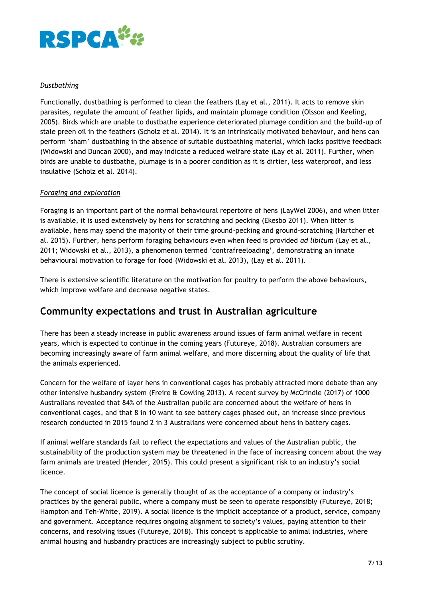

### *Dustbathing*

Functionally, dustbathing is performed to clean the feathers (Lay et al., 2011). It acts to remove skin parasites, regulate the amount of feather lipids, and maintain plumage condition (Olsson and Keeling, 2005). Birds which are unable to dustbathe experience deteriorated plumage condition and the build-up of stale preen oil in the feathers (Scholz et al. 2014). It is an intrinsically motivated behaviour, and hens can perform 'sham' dustbathing in the absence of suitable dustbathing material, which lacks positive feedback (Widowski and Duncan 2000), and may indicate a reduced welfare state (Lay et al. 2011). Further, when birds are unable to dustbathe, plumage is in a poorer condition as it is dirtier, less waterproof, and less insulative (Scholz et al. 2014).

### *Foraging and exploration*

Foraging is an important part of the normal behavioural repertoire of hens (LayWel 2006), and when litter is available, it is used extensively by hens for scratching and pecking (Ekesbo 2011). When litter is available, hens may spend the majority of their time ground-pecking and ground-scratching (Hartcher et al. 2015). Further, hens perform foraging behaviours even when feed is provided *ad libitum* (Lay et al., 2011; Widowski et al., 2013), a phenomenon termed 'contrafreeloading', demonstrating an innate behavioural motivation to forage for food (Widowski et al. 2013), (Lay et al. 2011).

There is extensive scientific literature on the motivation for poultry to perform the above behaviours, which improve welfare and decrease negative states.

### **Community expectations and trust in Australian agriculture**

There has been a steady increase in public awareness around issues of farm animal welfare in recent years, which is expected to continue in the coming years (Futureye, 2018). Australian consumers are becoming increasingly aware of farm animal welfare, and more discerning about the quality of life that the animals experienced.

Concern for the welfare of layer hens in conventional cages has probably attracted more debate than any other intensive husbandry system (Freire & Cowling 2013). A recent survey by McCrindle (2017) of 1000 Australians revealed that 84% of the Australian public are concerned about the welfare of hens in conventional cages, and that 8 in 10 want to see battery cages phased out, an increase since previous research conducted in 2015 found 2 in 3 Australians were concerned about hens in battery cages.

If animal welfare standards fail to reflect the expectations and values of the Australian public, the sustainability of the production system may be threatened in the face of increasing concern about the way farm animals are treated (Hender, 2015). This could present a significant risk to an industry's social licence.

The concept of social licence is generally thought of as the acceptance of a company or industry's practices by the general public, where a company must be seen to operate responsibly (Futureye, 2018; Hampton and Teh-White, 2019). A social licence is the implicit acceptance of a product, service, company and government. Acceptance requires ongoing alignment to society's values, paying attention to their concerns, and resolving issues (Futureye, 2018). This concept is applicable to animal industries, where animal housing and husbandry practices are increasingly subject to public scrutiny.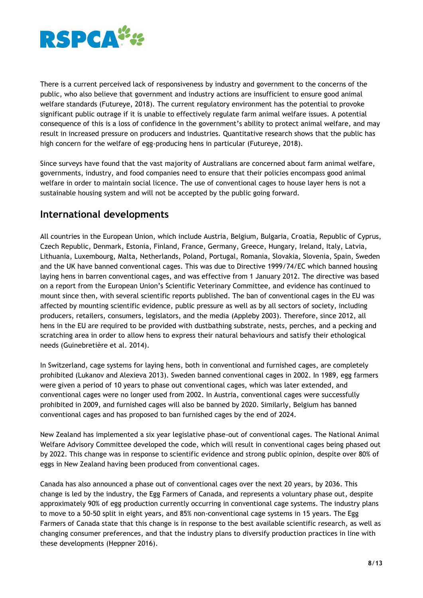

There is a current perceived lack of responsiveness by industry and government to the concerns of the public, who also believe that government and industry actions are insufficient to ensure good animal welfare standards (Futureye, 2018). The current regulatory environment has the potential to provoke significant public outrage if it is unable to effectively regulate farm animal welfare issues. A potential consequence of this is a loss of confidence in the government's ability to protect animal welfare, and may result in increased pressure on producers and industries. Quantitative research shows that the public has high concern for the welfare of egg-producing hens in particular (Futureye, 2018).

Since surveys have found that the vast majority of Australians are concerned about farm animal welfare, governments, industry, and food companies need to ensure that their policies encompass good animal welfare in order to maintain social licence. The use of conventional cages to house layer hens is not a sustainable housing system and will not be accepted by the public going forward.

# **International developments**

All countries in the European Union, which include Austria, Belgium, Bulgaria, Croatia, Republic of Cyprus, Czech Republic, Denmark, Estonia, Finland, France, Germany, Greece, Hungary, Ireland, Italy, Latvia, Lithuania, Luxembourg, Malta, Netherlands, Poland, Portugal, Romania, Slovakia, Slovenia, Spain, Sweden and the UK have banned conventional cages. This was due to Directive 1999/74/EC which banned housing laying hens in barren conventional cages, and was effective from 1 January 2012. The directive was based on a report from the European Union's Scientific Veterinary Committee, and evidence has continued to mount since then, with several scientific reports published. The ban of conventional cages in the EU was affected by mounting scientific evidence, public pressure as well as by all sectors of society, including producers, retailers, consumers, legislators, and the media (Appleby 2003). Therefore, since 2012, all hens in the EU are required to be provided with dustbathing substrate, nests, perches, and a pecking and scratching area in order to allow hens to express their natural behaviours and satisfy their ethological needs (Guinebretière et al. 2014).

In Switzerland, cage systems for laying hens, both in conventional and furnished cages, are completely prohibited (Lukanov and Alexieva 2013). Sweden banned conventional cages in 2002. In 1989, egg farmers were given a period of 10 years to phase out conventional cages, which was later extended, and conventional cages were no longer used from 2002. In Austria, conventional cages were successfully prohibited in 2009, and furnished cages will also be banned by 2020. Similarly, Belgium has banned conventional cages and has proposed to ban furnished cages by the end of 2024.

New Zealand has implemented a six year legislative phase-out of conventional cages. The National Animal Welfare Advisory Committee developed the code, which will result in conventional cages being phased out by 2022. This change was in response to scientific evidence and strong public opinion, despite over 80% of eggs in New Zealand having been produced from conventional cages.

Canada has also announced a phase out of conventional cages over the next 20 years, by 2036. This change is led by the industry, the Egg Farmers of Canada, and represents a voluntary phase out, despite approximately 90% of egg production currently occurring in conventional cage systems. The industry plans to move to a 50-50 split in eight years, and 85% non-conventional cage systems in 15 years. The Egg Farmers of Canada state that this change is in response to the best available scientific research, as well as changing consumer preferences, and that the industry plans to diversify production practices in line with these developments (Heppner 2016).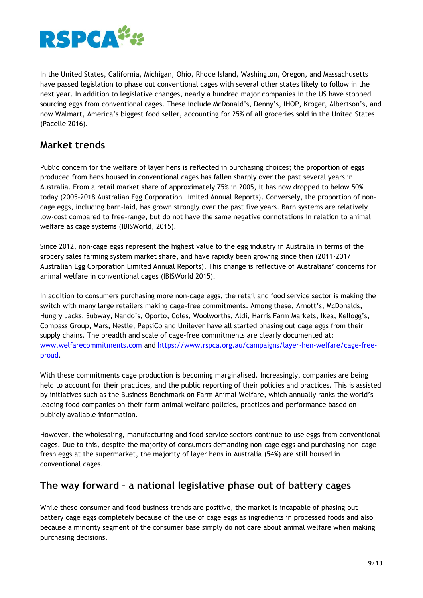

In the United States, California, Michigan, Ohio, Rhode Island, Washington, Oregon, and Massachusetts have passed legislation to phase out conventional cages with several other states likely to follow in the next year. In addition to legislative changes, nearly a hundred major companies in the US have stopped sourcing eggs from conventional cages. These include McDonald's, Denny's, IHOP, Kroger, Albertson's, and now Walmart, America's biggest food seller, accounting for 25% of all groceries sold in the United States (Pacelle 2016).

# **Market trends**

Public concern for the welfare of layer hens is reflected in purchasing choices; the proportion of eggs produced from hens housed in conventional cages has fallen sharply over the past several years in Australia. From a retail market share of approximately 75% in 2005, it has now dropped to below 50% today (2005-2018 Australian Egg Corporation Limited Annual Reports). Conversely, the proportion of noncage eggs, including barn-laid, has grown strongly over the past five years. Barn systems are relatively low-cost compared to free-range, but do not have the same negative connotations in relation to animal welfare as cage systems (IBISWorld, 2015).

Since 2012, non-cage eggs represent the highest value to the egg industry in Australia in terms of the grocery sales farming system market share, and have rapidly been growing since then (2011-2017 Australian Egg Corporation Limited Annual Reports). This change is reflective of Australians' concerns for animal welfare in conventional cages (IBISWorld 2015).

In addition to consumers purchasing more non-cage eggs, the retail and food service sector is making the switch with many large retailers making cage-free commitments. Among these, Arnott's, McDonalds, Hungry Jacks, Subway, Nando's, Oporto, Coles, Woolworths, Aldi, Harris Farm Markets, Ikea, Kellogg's, Compass Group, Mars, Nestle, PepsiCo and Unilever have all started phasing out cage eggs from their supply chains. The breadth and scale of cage-free commitments are clearly documented at: [www.welfarecommitments.com](http://www.welfarecommitments.com/) and [https://www.rspca.org.au/campaigns/layer-hen-welfare/cage-free](https://www.rspca.org.au/campaigns/layer-hen-welfare/cage-free-proud)[proud.](https://www.rspca.org.au/campaigns/layer-hen-welfare/cage-free-proud)

With these commitments cage production is becoming marginalised. Increasingly, companies are being held to account for their practices, and the public reporting of their policies and practices. This is assisted by initiatives such as the Business Benchmark on Farm Animal Welfare, which annually ranks the world's leading food companies on their farm animal welfare policies, practices and performance based on publicly available information.

However, the wholesaling, manufacturing and food service sectors continue to use eggs from conventional cages. Due to this, despite the majority of consumers demanding non-cage eggs and purchasing non-cage fresh eggs at the supermarket, the majority of layer hens in Australia (54%) are still housed in conventional cages.

# **The way forward – a national legislative phase out of battery cages**

While these consumer and food business trends are positive, the market is incapable of phasing out battery cage eggs completely because of the use of cage eggs as ingredients in processed foods and also because a minority segment of the consumer base simply do not care about animal welfare when making purchasing decisions.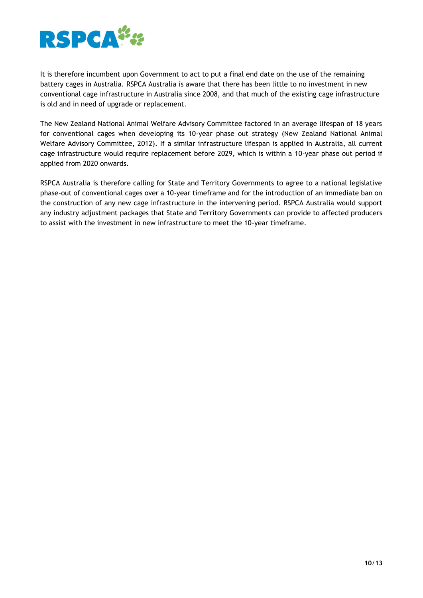

It is therefore incumbent upon Government to act to put a final end date on the use of the remaining battery cages in Australia. RSPCA Australia is aware that there has been little to no investment in new conventional cage infrastructure in Australia since 2008, and that much of the existing cage infrastructure is old and in need of upgrade or replacement.

The New Zealand National Animal Welfare Advisory Committee factored in an average lifespan of 18 years for conventional cages when developing its 10-year phase out strategy (New Zealand National Animal Welfare Advisory Committee, 2012). If a similar infrastructure lifespan is applied in Australia, all current cage infrastructure would require replacement before 2029, which is within a 10-year phase out period if applied from 2020 onwards.

RSPCA Australia is therefore calling for State and Territory Governments to agree to a national legislative phase-out of conventional cages over a 10-year timeframe and for the introduction of an immediate ban on the construction of any new cage infrastructure in the intervening period. RSPCA Australia would support any industry adjustment packages that State and Territory Governments can provide to affected producers to assist with the investment in new infrastructure to meet the 10-year timeframe.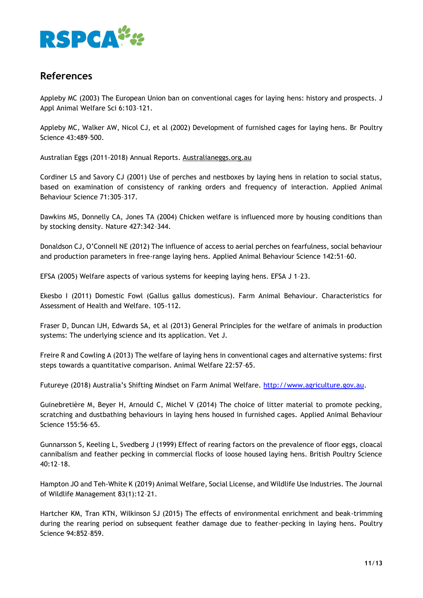

# **References**

Appleby MC (2003) The European Union ban on conventional cages for laying hens: history and prospects. J Appl Animal Welfare Sci 6:103–121.

Appleby MC, Walker AW, Nicol CJ, et al (2002) Development of furnished cages for laying hens. Br Poultry Science 43:489–500.

Australian Eggs (2011-2018) Annual Reports. Australianeggs.org.au

Cordiner LS and Savory CJ (2001) Use of perches and nestboxes by laying hens in relation to social status, based on examination of consistency of ranking orders and frequency of interaction. Applied Animal Behaviour Science 71:305–317.

Dawkins MS, Donnelly CA, Jones TA (2004) Chicken welfare is influenced more by housing conditions than by stocking density. Nature 427:342–344.

Donaldson CJ, O'Connell NE (2012) The influence of access to aerial perches on fearfulness, social behaviour and production parameters in free-range laying hens. Applied Animal Behaviour Science 142:51–60.

EFSA (2005) Welfare aspects of various systems for keeping laying hens. EFSA J 1–23.

Ekesbo I (2011) Domestic Fowl (Gallus gallus domesticus). Farm Animal Behaviour. Characteristics for Assessment of Health and Welfare. 105-112.

Fraser D, Duncan IJH, Edwards SA, et al (2013) General Principles for the welfare of animals in production systems: The underlying science and its application. Vet J.

Freire R and Cowling A (2013) The welfare of laying hens in conventional cages and alternative systems: first steps towards a quantitative comparison. Animal Welfare 22:57–65.

Futureye (2018) Australia's Shifting Mindset on Farm Animal Welfare. [http://www.agriculture.gov.au.](http://www.agriculture.gov.au/)

Guinebretière M, Beyer H, Arnould C, Michel V (2014) The choice of litter material to promote pecking, scratching and dustbathing behaviours in laying hens housed in furnished cages. Applied Animal Behaviour Science 155:56–65.

Gunnarsson S, Keeling L, Svedberg J (1999) Effect of rearing factors on the prevalence of floor eggs, cloacal cannibalism and feather pecking in commercial flocks of loose housed laying hens. British Poultry Science 40:12–18.

Hampton JO and Teh-White K (2019) Animal Welfare, Social License, and Wildlife Use Industries. The Journal of Wildlife Management 83(1):12–21.

Hartcher KM, Tran KTN, Wilkinson SJ (2015) The effects of environmental enrichment and beak-trimming during the rearing period on subsequent feather damage due to feather-pecking in laying hens. Poultry Science 94:852–859.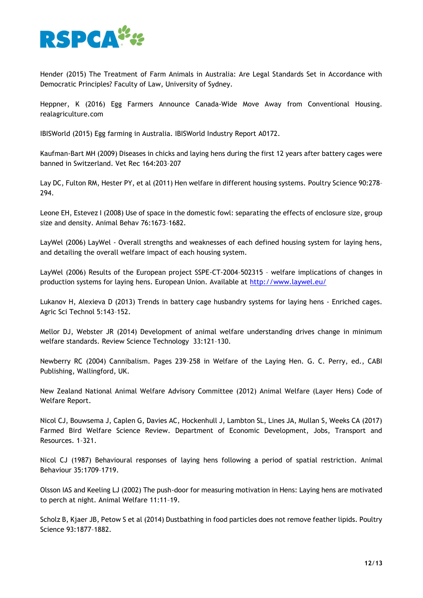

Hender (2015) The Treatment of Farm Animals in Australia: Are Legal Standards Set in Accordance with Democratic Principles? Faculty of Law, University of Sydney.

Heppner, K (2016) Egg Farmers Announce Canada-Wide Move Away from Conventional Housing. realagriculture.com

IBISWorld (2015) Egg farming in Australia. IBISWorld Industry Report A0172.

Kaufman-Bart MH (2009) Diseases in chicks and laying hens during the first 12 years after battery cages were banned in Switzerland. Vet Rec 164:203–207

Lay DC, Fulton RM, Hester PY, et al (2011) Hen welfare in different housing systems. Poultry Science 90:278– 294.

Leone EH, Estevez I (2008) Use of space in the domestic fowl: separating the effects of enclosure size, group size and density. Animal Behav 76:1673–1682.

LayWel (2006) LayWel - Overall strengths and weaknesses of each defined housing system for laying hens, and detailing the overall welfare impact of each housing system.

LayWel (2006) Results of the European project SSPE-CT-2004–502315 – welfare implications of changes in production systems for laying hens. European Union. Available at<http://www.laywel.eu/>

Lukanov H, Alexieva D (2013) Trends in battery cage husbandry systems for laying hens - Enriched cages. Agric Sci Technol 5:143–152.

Mellor DJ, Webster JR (2014) Development of animal welfare understanding drives change in minimum welfare standards. Review Science Technology 33:121–130.

Newberry RC (2004) Cannibalism. Pages 239–258 in Welfare of the Laying Hen. G. C. Perry, ed., CABI Publishing, Wallingford, UK.

New Zealand National Animal Welfare Advisory Committee (2012) Animal Welfare (Layer Hens) Code of Welfare Report.

Nicol CJ, Bouwsema J, Caplen G, Davies AC, Hockenhull J, Lambton SL, Lines JA, Mullan S, Weeks CA (2017) Farmed Bird Welfare Science Review. Department of Economic Development, Jobs, Transport and Resources. 1–321.

Nicol CJ (1987) Behavioural responses of laying hens following a period of spatial restriction. Animal Behaviour 35:1709–1719.

Olsson IAS and Keeling LJ (2002) The push-door for measuring motivation in Hens: Laying hens are motivated to perch at night. Animal Welfare 11:11–19.

Scholz B, Kjaer JB, Petow S et al (2014) Dustbathing in food particles does not remove feather lipids. Poultry Science 93:1877–1882.